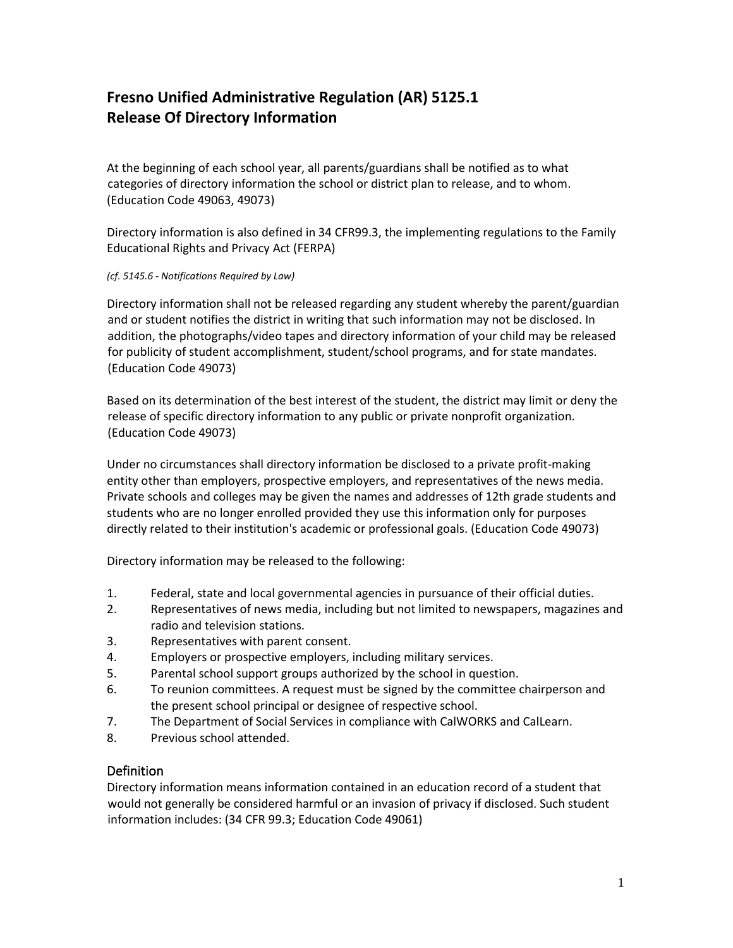## **Fresno Unified Administrative Regulation (AR) 5125.1 Release Of Directory Information**

At the beginning of each school year, all parents/guardians shall be notified as to what categories of directory information the school or district plan to release, and to whom. (Education Code 49063, 49073)

Directory information is also defined in 34 CFR99.3, the implementing regulations to the Family Educational Rights and Privacy Act (FERPA)

## *(cf. 5145.6 - Notifications Required by Law)*

Directory information shall not be released regarding any student whereby the parent/guardian and or student notifies the district in writing that such information may not be disclosed. In addition, the photographs/video tapes and directory information of your child may be released for publicity of student accomplishment, student/school programs, and for state mandates. (Education Code 49073)

Based on its determination of the best interest of the student, the district may limit or deny the release of specific directory information to any public or private nonprofit organization. (Education Code 49073)

Under no circumstances shall directory information be disclosed to a private profit-making entity other than employers, prospective employers, and representatives of the news media. Private schools and colleges may be given the names and addresses of 12th grade students and students who are no longer enrolled provided they use this information only for purposes directly related to their institution's academic or professional goals. (Education Code 49073)

Directory information may be released to the following:

- 1. Federal, state and local governmental agencies in pursuance of their official duties.
- 2. Representatives of news media, including but not limited to newspapers, magazines and radio and television stations.
- 3. Representatives with parent consent.
- 4. Employers or prospective employers, including military services.
- 5. Parental school support groups authorized by the school in question.
- 6. To reunion committees. A request must be signed by the committee chairperson and the present school principal or designee of respective school.
- 7. The Department of Social Services in compliance with CalWORKS and CalLearn.
- 8. Previous school attended.

## Definition

Directory information means information contained in an education record of a student that would not generally be considered harmful or an invasion of privacy if disclosed. Such student information includes: (34 CFR 99.3; Education Code 49061)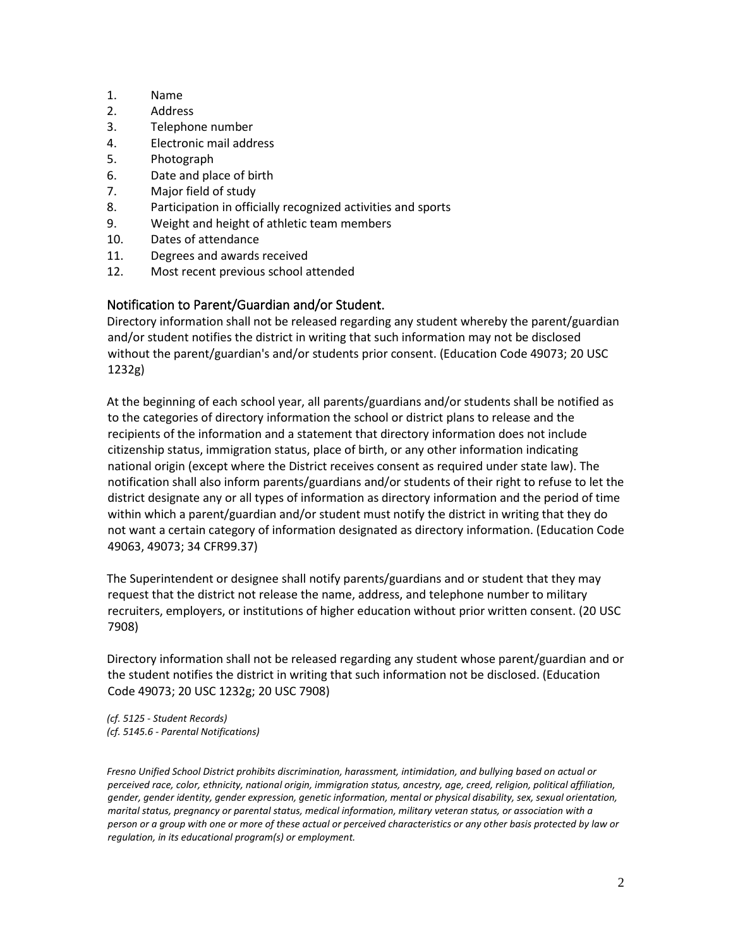- 1. Name
- 2. Address
- 3. Telephone number
- 4. Electronic mail address
- 5. Photograph
- 6. Date and place of birth
- 7. Major field of study
- 8. Participation in officially recognized activities and sports
- 9. Weight and height of athletic team members
- 10. Dates of attendance
- 11. Degrees and awards received
- 12. Most recent previous school attended

## Notification to Parent/Guardian and/or Student.

Directory information shall not be released regarding any student whereby the parent/guardian and/or student notifies the district in writing that such information may not be disclosed without the parent/guardian's and/or students prior consent. (Education Code 49073; 20 USC 1232g)

At the beginning of each school year, all parents/guardians and/or students shall be notified as to the categories of directory information the school or district plans to release and the recipients of the information and a statement that directory information does not include citizenship status, immigration status, place of birth, or any other information indicating national origin (except where the District receives consent as required under state law). The notification shall also inform parents/guardians and/or students of their right to refuse to let the district designate any or all types of information as directory information and the period of time within which a parent/guardian and/or student must notify the district in writing that they do not want a certain category of information designated as directory information. (Education Code 49063, 49073; 34 CFR99.37)

The Superintendent or designee shall notify parents/guardians and or student that they may request that the district not release the name, address, and telephone number to military recruiters, employers, or institutions of higher education without prior written consent. (20 USC 7908)

Directory information shall not be released regarding any student whose parent/guardian and or the student notifies the district in writing that such information not be disclosed. (Education Code 49073; 20 USC 1232g; 20 USC 7908)

*(cf. 5125 - Student Records) (cf. 5145.6 - Parental Notifications)* 

*Fresno Unified School District prohibits discrimination, harassment, intimidation, and bullying based on actual or perceived race, color, ethnicity, national origin, immigration status, ancestry, age, creed, religion, political affiliation, gender, gender identity, gender expression, genetic information, mental or physical disability, sex, sexual orientation, marital status, pregnancy or parental status, medical information, military veteran status, or association with a person or a group with one or more of these actual or perceived characteristics or any other basis protected by law or regulation, in its educational program(s) or employment.*